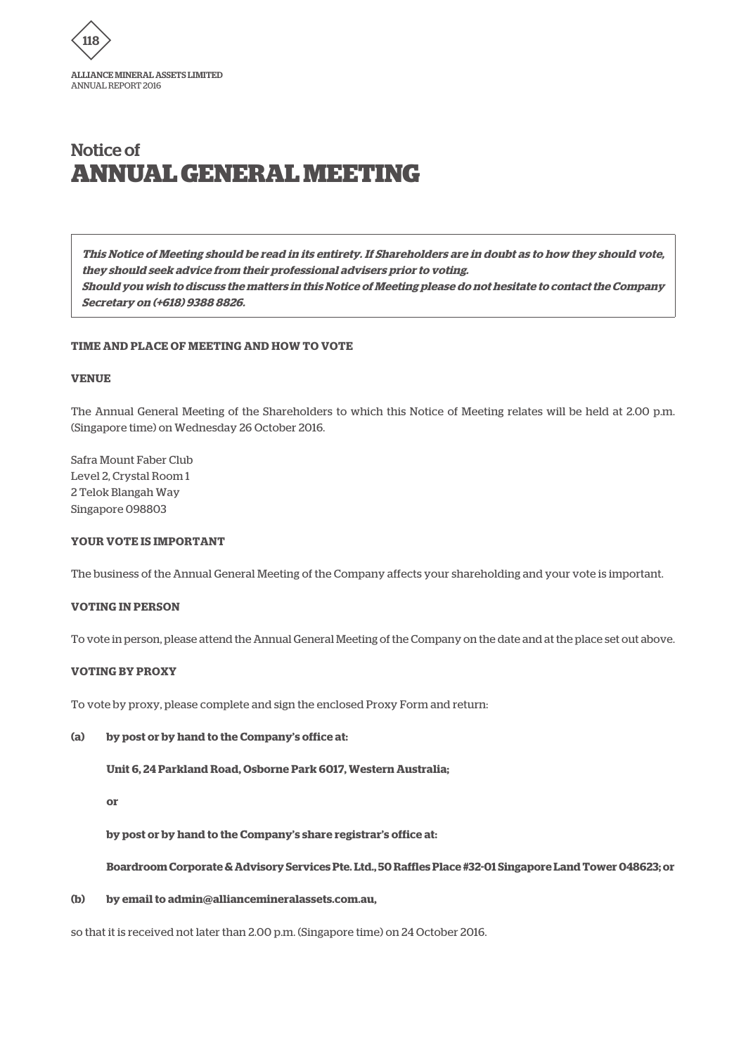

**This Notice of Meeting should be read in its entirety. If Shareholders are in doubt as to how they should vote, they should seek advice from their professional advisers prior to voting. Should you wish to discuss the matters in this Notice of Meeting please do not hesitate to contact the Company Secretary on (+618) 9388 8826.**

### **TIME AND PLACE OF MEETING AND HOW TO VOTE**

#### **VENUE**

The Annual General Meeting of the Shareholders to which this Notice of Meeting relates will be held at 2.00 p.m. (Singapore time) on Wednesday 26 October 2016.

Safra Mount Faber Club Level 2, Crystal Room 1 2 Telok Blangah Way Singapore 098803

#### **YOUR VOTE IS IMPORTANT**

The business of the Annual General Meeting of the Company affects your shareholding and your vote is important.

#### **VOTING IN PERSON**

To vote in person, please attend the Annual General Meeting of the Company on the date and at the place set out above.

#### **VOTING BY PROXY**

To vote by proxy, please complete and sign the enclosed Proxy Form and return:

#### **(a) by post or by hand to the Company's office at:**

**Unit 6, 24 Parkland Road, Osborne Park 6017, Western Australia;**

#### **or**

**by post or by hand to the Company's share registrar's office at:**

**Boardroom Corporate & Advisory Services Pte. Ltd., 50 Raffles Place #32-01 Singapore Land Tower 048623; or**

### **(b) by email to admin@alliancemineralassets.com.au,**

so that it is received not later than 2.00 p.m. (Singapore time) on 24 October 2016.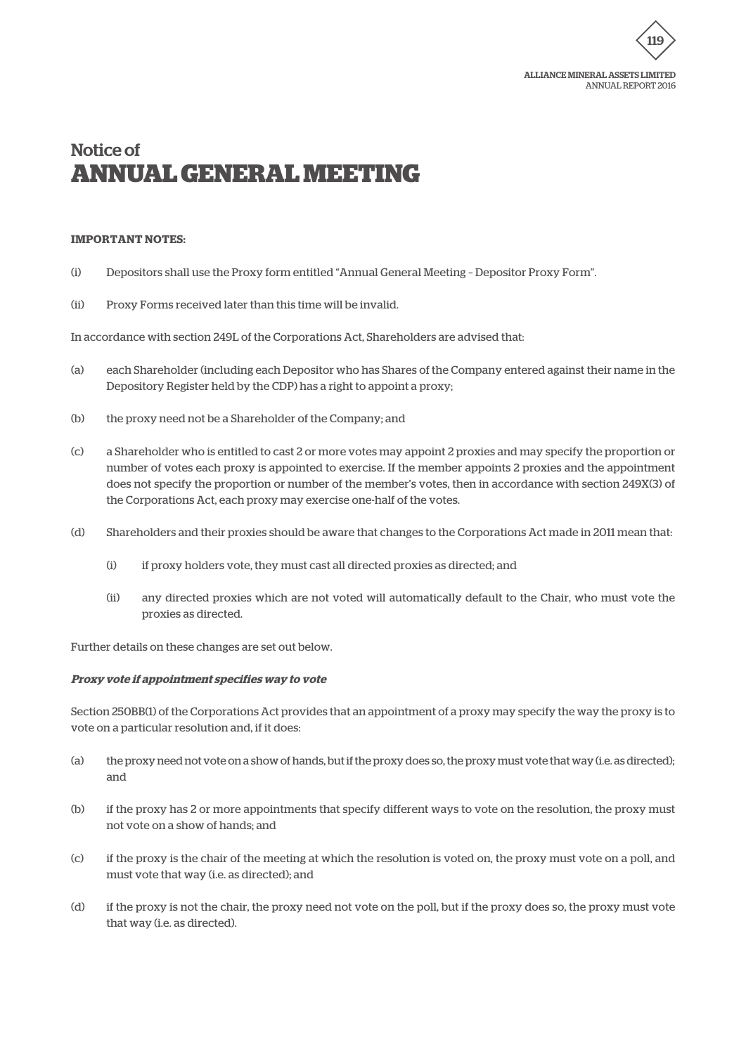

### **IMPORTANT NOTES:**

- (i) Depositors shall use the Proxy form entitled "Annual General Meeting Depositor Proxy Form".
- (ii) Proxy Forms received later than this time will be invalid.

In accordance with section 249L of the Corporations Act, Shareholders are advised that:

- (a) each Shareholder (including each Depositor who has Shares of the Company entered against their name in the Depository Register held by the CDP) has a right to appoint a proxy;
- (b) the proxy need not be a Shareholder of the Company; and
- (c) a Shareholder who is entitled to cast 2 or more votes may appoint 2 proxies and may specify the proportion or number of votes each proxy is appointed to exercise. If the member appoints 2 proxies and the appointment does not specify the proportion or number of the member's votes, then in accordance with section 249X(3) of the Corporations Act, each proxy may exercise one-half of the votes.
- (d) Shareholders and their proxies should be aware that changes to the Corporations Act made in 2011 mean that:
	- (i) if proxy holders vote, they must cast all directed proxies as directed; and
	- (ii) any directed proxies which are not voted will automatically default to the Chair, who must vote the proxies as directed.

Further details on these changes are set out below.

#### **Proxy vote if appointment specifies way to vote**

Section 250BB(1) of the Corporations Act provides that an appointment of a proxy may specify the way the proxy is to vote on a particular resolution and, if it does:

- (a) the proxy need not vote on a show of hands, but if the proxy does so, the proxy must vote that way (i.e. as directed); and
- (b) if the proxy has 2 or more appointments that specify different ways to vote on the resolution, the proxy must not vote on a show of hands; and
- (c) if the proxy is the chair of the meeting at which the resolution is voted on, the proxy must vote on a poll, and must vote that way (i.e. as directed); and
- (d) if the proxy is not the chair, the proxy need not vote on the poll, but if the proxy does so, the proxy must vote that way (i.e. as directed).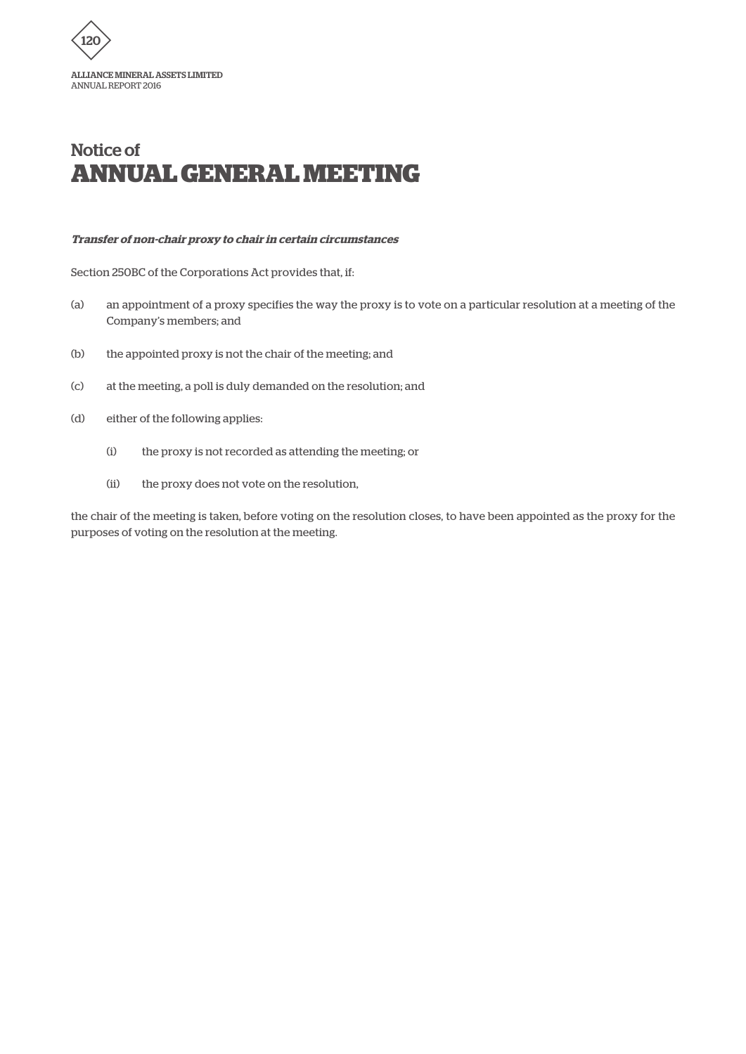

### **Transfer of non-chair proxy to chair in certain circumstances**

Section 250BC of the Corporations Act provides that, if:

- (a) an appointment of a proxy specifies the way the proxy is to vote on a particular resolution at a meeting of the Company's members; and
- (b) the appointed proxy is not the chair of the meeting; and
- (c) at the meeting, a poll is duly demanded on the resolution; and
- (d) either of the following applies:
	- (i) the proxy is not recorded as attending the meeting; or
	- (ii) the proxy does not vote on the resolution,

the chair of the meeting is taken, before voting on the resolution closes, to have been appointed as the proxy for the purposes of voting on the resolution at the meeting.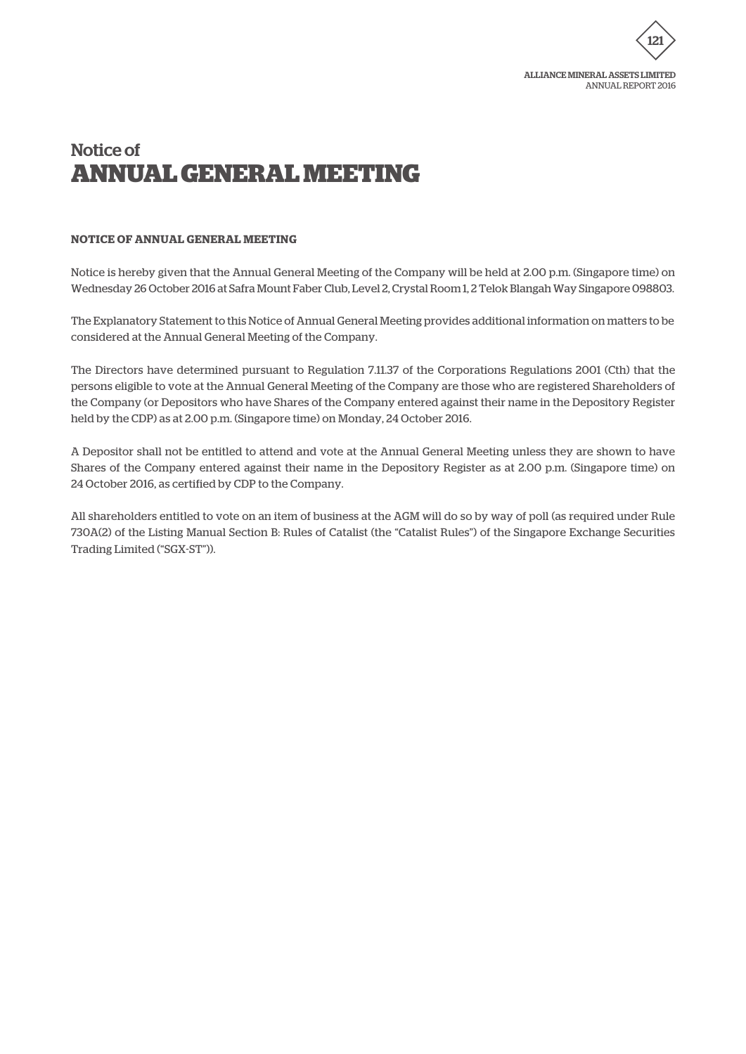

# **NOTICE OF ANNUAL GENERAL MEETING**

Notice is hereby given that the Annual General Meeting of the Company will be held at 2.00 p.m. (Singapore time) on Wednesday 26 October 2016 at Safra Mount Faber Club, Level 2, Crystal Room 1, 2 Telok Blangah Way Singapore 098803.

The Explanatory Statement to this Notice of Annual General Meeting provides additional information on matters to be considered at the Annual General Meeting of the Company.

The Directors have determined pursuant to Regulation 7.11.37 of the Corporations Regulations 2001 (Cth) that the persons eligible to vote at the Annual General Meeting of the Company are those who are registered Shareholders of the Company (or Depositors who have Shares of the Company entered against their name in the Depository Register held by the CDP) as at 2.00 p.m. (Singapore time) on Monday, 24 October 2016.

A Depositor shall not be entitled to attend and vote at the Annual General Meeting unless they are shown to have Shares of the Company entered against their name in the Depository Register as at 2.00 p.m. (Singapore time) on 24 October 2016, as certified by CDP to the Company.

All shareholders entitled to vote on an item of business at the AGM will do so by way of poll (as required under Rule 730A(2) of the Listing Manual Section B: Rules of Catalist (the "Catalist Rules") of the Singapore Exchange Securities Trading Limited ("SGX-ST")).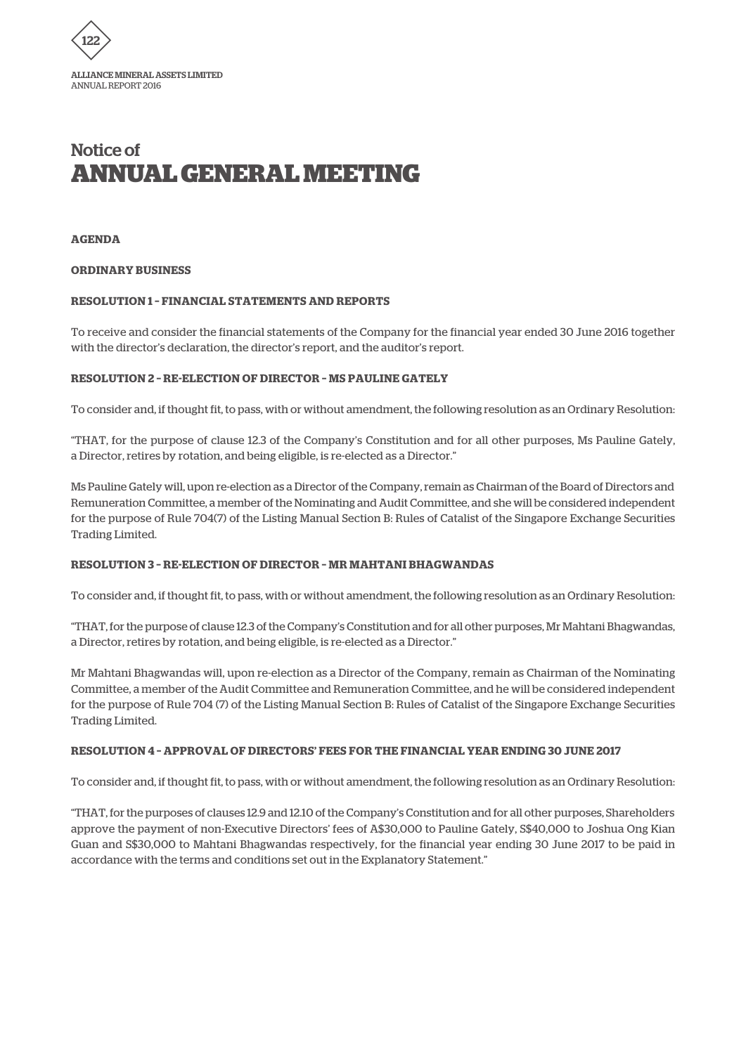

### **AGENDA**

#### **ORDINARY BUSINESS**

### **RESOLUTION 1 – FINANCIAL STATEMENTS AND REPORTS**

To receive and consider the financial statements of the Company for the financial year ended 30 June 2016 together with the director's declaration, the director's report, and the auditor's report.

# **RESOLUTION 2 – RE-ELECTION OF DIRECTOR – MS PAULINE GATELY**

To consider and, if thought fit, to pass, with or without amendment, the following resolution as an Ordinary Resolution:

"THAT, for the purpose of clause 12.3 of the Company's Constitution and for all other purposes, Ms Pauline Gately, a Director, retires by rotation, and being eligible, is re-elected as a Director."

Ms Pauline Gately will, upon re-election as a Director of the Company, remain as Chairman of the Board of Directors and Remuneration Committee, a member of the Nominating and Audit Committee, and she will be considered independent for the purpose of Rule 704(7) of the Listing Manual Section B: Rules of Catalist of the Singapore Exchange Securities Trading Limited.

# **RESOLUTION 3 – RE-ELECTION OF DIRECTOR – MR MAHTANI BHAGWANDAS**

To consider and, if thought fit, to pass, with or without amendment, the following resolution as an Ordinary Resolution:

"THAT, for the purpose of clause 12.3 of the Company's Constitution and for all other purposes, Mr Mahtani Bhagwandas, a Director, retires by rotation, and being eligible, is re-elected as a Director."

Mr Mahtani Bhagwandas will, upon re-election as a Director of the Company, remain as Chairman of the Nominating Committee, a member of the Audit Committee and Remuneration Committee, and he will be considered independent for the purpose of Rule 704 (7) of the Listing Manual Section B: Rules of Catalist of the Singapore Exchange Securities Trading Limited.

#### **RESOLUTION 4 – APPROVAL OF DIRECTORS' FEES FOR THE FINANCIAL YEAR ENDING 30 JUNE 2017**

To consider and, if thought fit, to pass, with or without amendment, the following resolution as an Ordinary Resolution:

"THAT, for the purposes of clauses 12.9 and 12.10 of the Company's Constitution and for all other purposes, Shareholders approve the payment of non-Executive Directors' fees of A\$30,000 to Pauline Gately, S\$40,000 to Joshua Ong Kian Guan and S\$30,000 to Mahtani Bhagwandas respectively, for the financial year ending 30 June 2017 to be paid in accordance with the terms and conditions set out in the Explanatory Statement."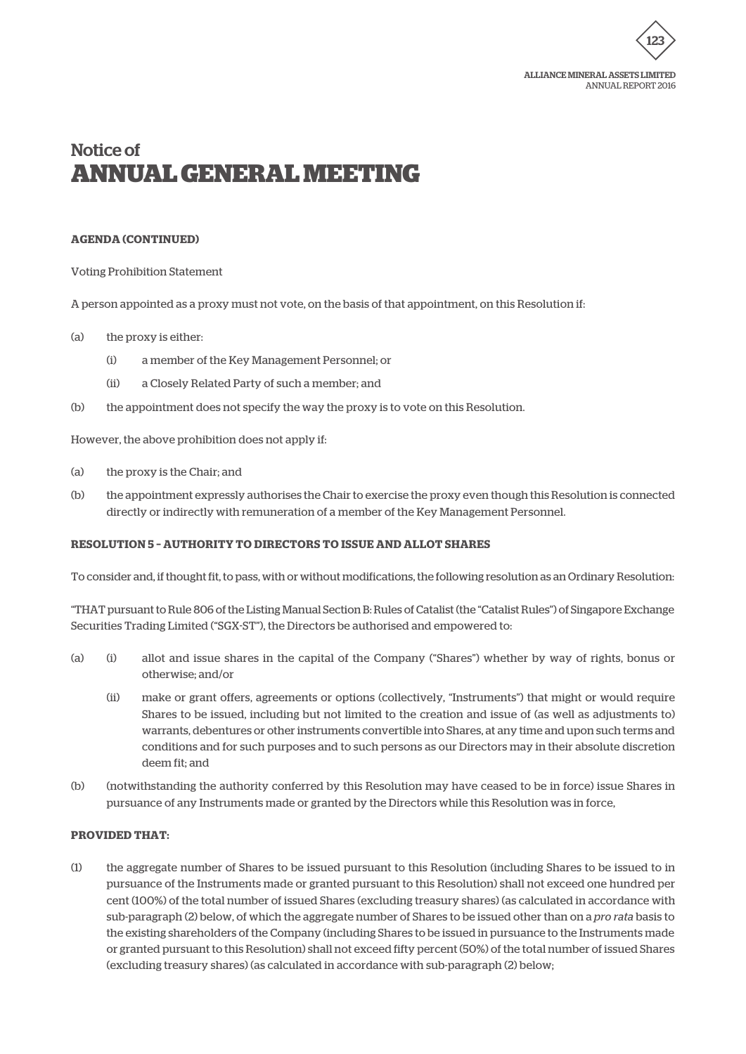

ANNUAL REPORT 2016

# Notice of **ANNUAL GENERAL MEETING**

#### **AGENDA (CONTINUED)**

Voting Prohibition Statement

A person appointed as a proxy must not vote, on the basis of that appointment, on this Resolution if:

- (a) the proxy is either:
	- (i) a member of the Key Management Personnel; or
	- (ii) a Closely Related Party of such a member; and
- (b) the appointment does not specify the way the proxy is to vote on this Resolution.

However, the above prohibition does not apply if:

- (a) the proxy is the Chair; and
- (b) the appointment expressly authorises the Chair to exercise the proxy even though this Resolution is connected directly or indirectly with remuneration of a member of the Key Management Personnel.

# **RESOLUTION 5 – AUTHORITY TO DIRECTORS TO ISSUE AND ALLOT SHARES**

To consider and, if thought fit, to pass, with or without modifications, the following resolution as an Ordinary Resolution:

"THAT pursuant to Rule 806 of the Listing Manual Section B: Rules of Catalist (the "Catalist Rules") of Singapore Exchange Securities Trading Limited ("SGX-ST"), the Directors be authorised and empowered to:

- (a) (i) allot and issue shares in the capital of the Company ("Shares") whether by way of rights, bonus or otherwise; and/or
	- (ii) make or grant offers, agreements or options (collectively, "Instruments") that might or would require Shares to be issued, including but not limited to the creation and issue of (as well as adjustments to) warrants, debentures or other instruments convertible into Shares, at any time and upon such terms and conditions and for such purposes and to such persons as our Directors may in their absolute discretion deem fit; and
- (b) (notwithstanding the authority conferred by this Resolution may have ceased to be in force) issue Shares in pursuance of any Instruments made or granted by the Directors while this Resolution was in force,

### **PROVIDED THAT:**

(1) the aggregate number of Shares to be issued pursuant to this Resolution (including Shares to be issued to in pursuance of the Instruments made or granted pursuant to this Resolution) shall not exceed one hundred per cent (100%) of the total number of issued Shares (excluding treasury shares) (as calculated in accordance with sub-paragraph (2) below, of which the aggregate number of Shares to be issued other than on a *pro rata* basis to the existing shareholders of the Company (including Shares to be issued in pursuance to the Instruments made or granted pursuant to this Resolution) shall not exceed fifty percent (50%) of the total number of issued Shares (excluding treasury shares) (as calculated in accordance with sub-paragraph (2) below;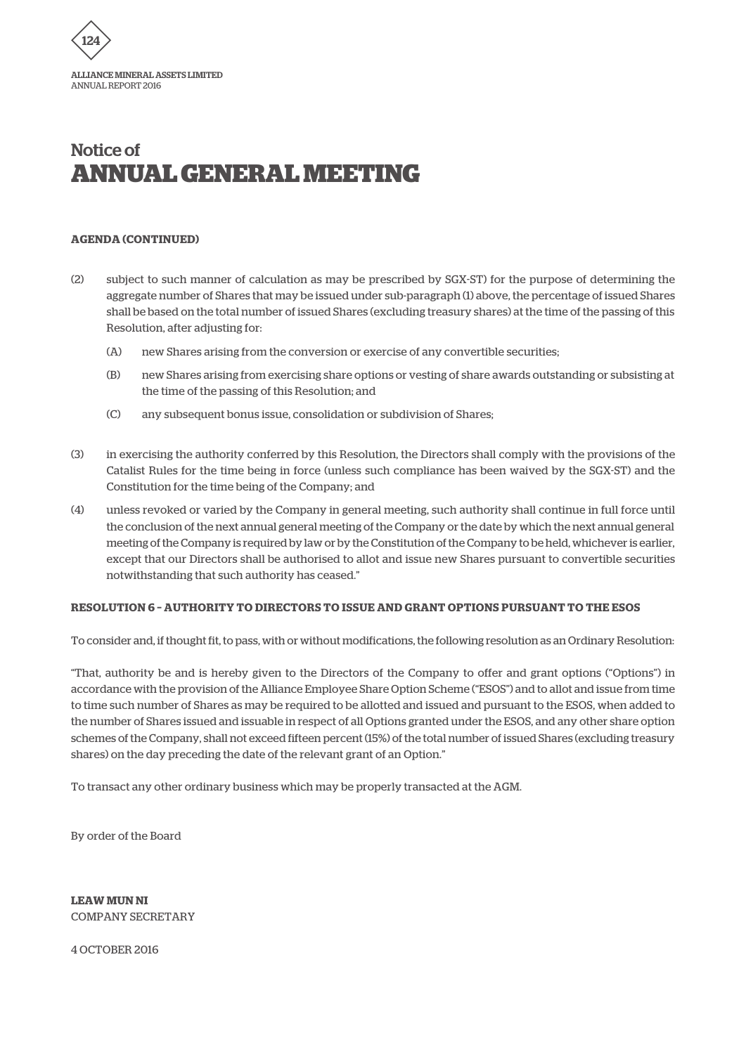

# **AGENDA (CONTINUED)**

- (2) subject to such manner of calculation as may be prescribed by SGX-ST) for the purpose of determining the aggregate number of Shares that may be issued under sub-paragraph (1) above, the percentage of issued Shares shall be based on the total number of issued Shares (excluding treasury shares) at the time of the passing of this Resolution, after adjusting for:
	- (A) new Shares arising from the conversion or exercise of any convertible securities;
	- (B) new Shares arising from exercising share options or vesting of share awards outstanding or subsisting at the time of the passing of this Resolution; and
	- (C) any subsequent bonus issue, consolidation or subdivision of Shares;
- (3) in exercising the authority conferred by this Resolution, the Directors shall comply with the provisions of the Catalist Rules for the time being in force (unless such compliance has been waived by the SGX-ST) and the Constitution for the time being of the Company; and
- (4) unless revoked or varied by the Company in general meeting, such authority shall continue in full force until the conclusion of the next annual general meeting of the Company or the date by which the next annual general meeting of the Company is required by law or by the Constitution of the Company to be held, whichever is earlier, except that our Directors shall be authorised to allot and issue new Shares pursuant to convertible securities notwithstanding that such authority has ceased."

# **RESOLUTION 6 – AUTHORITY TO DIRECTORS TO ISSUE AND GRANT OPTIONS PURSUANT TO THE ESOS**

To consider and, if thought fit, to pass, with or without modifications, the following resolution as an Ordinary Resolution:

"That, authority be and is hereby given to the Directors of the Company to offer and grant options ("Options") in accordance with the provision of the Alliance Employee Share Option Scheme ("ESOS") and to allot and issue from time to time such number of Shares as may be required to be allotted and issued and pursuant to the ESOS, when added to the number of Shares issued and issuable in respect of all Options granted under the ESOS, and any other share option schemes of the Company, shall not exceed fifteen percent (15%) of the total number of issued Shares (excluding treasury shares) on the day preceding the date of the relevant grant of an Option."

To transact any other ordinary business which may be properly transacted at the AGM.

By order of the Board

**LEAW MUN NI** COMPANY SECRETARY

4 OCTOBER 2016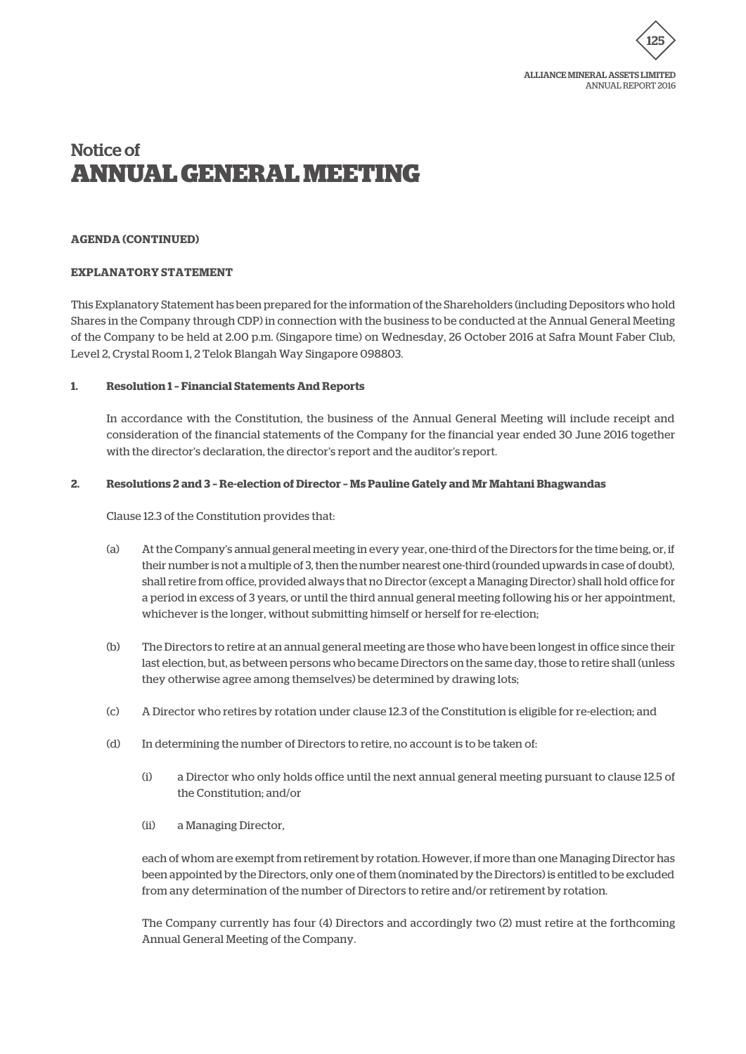

### **AGENDA (CONTINUED)**

### **EXPLANATORY STATEMENT**

This Explanatory Statement has been prepared for the information of the Shareholders (including Depositors who hold Shares in the Company through CDP) in connection with the business to be conducted at the Annual General Meeting of the Company to be held at 2.00 p.m. (Singapore time) on Wednesday, 26 October 2016 at Safra Mount Faber Club, Level 2, Crystal Room 1, 2 Telok Blangah Way Singapore 098803.

### **1. Resolution 1 – Financial Statements And Reports**

In accordance with the Constitution, the business of the Annual General Meeting will include receipt and consideration of the financial statements of the Company for the financial year ended 30 June 2016 together with the director's declaration, the director's report and the auditor's report.

### **2. Resolutions 2 and 3 – Re-election of Director – Ms Pauline Gately and Mr Mahtani Bhagwandas**

Clause 12.3 of the Constitution provides that:

- (a) At the Company's annual general meeting in every year, one-third of the Directors for the time being, or, if their number is not a multiple of 3, then the number nearest one-third (rounded upwards in case of doubt), shall retire from office, provided always that no Director (except a Managing Director) shall hold office for a period in excess of 3 years, or until the third annual general meeting following his or her appointment, whichever is the longer, without submitting himself or herself for re-election;
- (b) The Directors to retire at an annual general meeting are those who have been longest in office since their last election, but, as between persons who became Directors on the same day, those to retire shall (unless they otherwise agree among themselves) be determined by drawing lots;
- (c) A Director who retires by rotation under clause 12.3 of the Constitution is eligible for re-election; and
- (d) In determining the number of Directors to retire, no account is to be taken of:
	- (i) a Director who only holds office until the next annual general meeting pursuant to clause 12.5 of the Constitution; and/or
	- (ii) a Managing Director,

each of whom are exempt from retirement by rotation. However, if more than one Managing Director has been appointed by the Directors, only one of them (nominated by the Directors) is entitled to be excluded from any determination of the number of Directors to retire and/or retirement by rotation.

The Company currently has four (4) Directors and accordingly two (2) must retire at the forthcoming Annual General Meeting of the Company.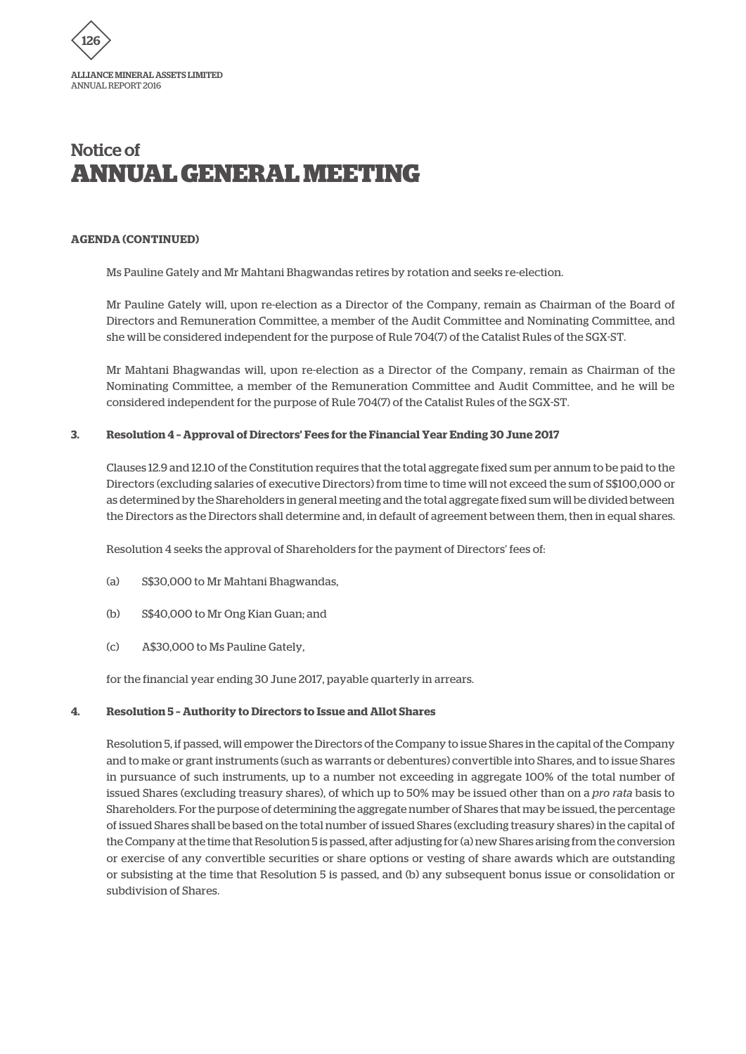

### **AGENDA (CONTINUED)**

Ms Pauline Gately and Mr Mahtani Bhagwandas retires by rotation and seeks re-election.

Mr Pauline Gately will, upon re-election as a Director of the Company, remain as Chairman of the Board of Directors and Remuneration Committee, a member of the Audit Committee and Nominating Committee, and she will be considered independent for the purpose of Rule 704(7) of the Catalist Rules of the SGX-ST.

Mr Mahtani Bhagwandas will, upon re-election as a Director of the Company, remain as Chairman of the Nominating Committee, a member of the Remuneration Committee and Audit Committee, and he will be considered independent for the purpose of Rule 704(7) of the Catalist Rules of the SGX-ST.

### **3. Resolution 4 – Approval of Directors' Fees for the Financial Year Ending 30 June 2017**

Clauses 12.9 and 12.10 of the Constitution requires that the total aggregate fixed sum per annum to be paid to the Directors (excluding salaries of executive Directors) from time to time will not exceed the sum of S\$100,000 or as determined by the Shareholders in general meeting and the total aggregate fixed sum will be divided between the Directors as the Directors shall determine and, in default of agreement between them, then in equal shares.

Resolution 4 seeks the approval of Shareholders for the payment of Directors' fees of:

- (a) S\$30,000 to Mr Mahtani Bhagwandas,
- (b) S\$40,000 to Mr Ong Kian Guan; and
- (c) A\$30,000 to Ms Pauline Gately,

for the financial year ending 30 June 2017, payable quarterly in arrears.

#### **4. Resolution 5 – Authority to Directors to Issue and Allot Shares**

Resolution 5, if passed, will empower the Directors of the Company to issue Shares in the capital of the Company and to make or grant instruments (such as warrants or debentures) convertible into Shares, and to issue Shares in pursuance of such instruments, up to a number not exceeding in aggregate 100% of the total number of issued Shares (excluding treasury shares), of which up to 50% may be issued other than on a *pro rata* basis to Shareholders. For the purpose of determining the aggregate number of Shares that may be issued, the percentage of issued Shares shall be based on the total number of issued Shares (excluding treasury shares) in the capital of the Company at the time that Resolution 5 is passed, after adjusting for (a) new Shares arising from the conversion or exercise of any convertible securities or share options or vesting of share awards which are outstanding or subsisting at the time that Resolution 5 is passed, and (b) any subsequent bonus issue or consolidation or subdivision of Shares.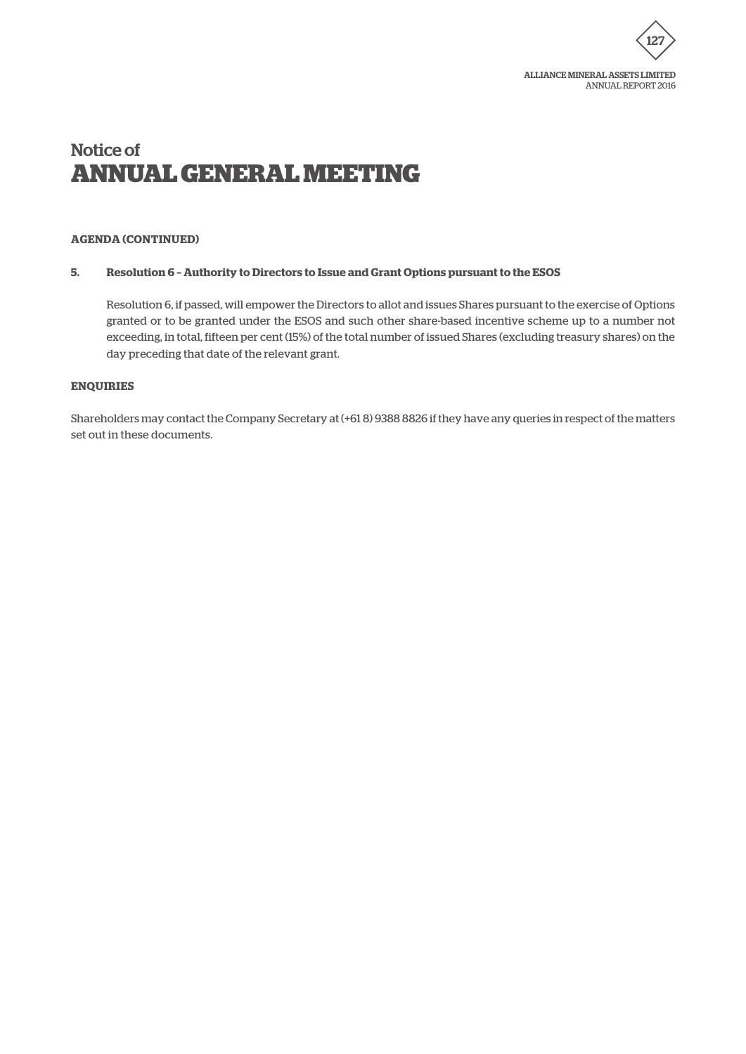

# **AGENDA (CONTINUED)**

## **5. Resolution 6 – Authority to Directors to Issue and Grant Options pursuant to the ESOS**

Resolution 6, if passed, will empower the Directors to allot and issues Shares pursuant to the exercise of Options granted or to be granted under the ESOS and such other share-based incentive scheme up to a number not exceeding, in total, fifteen per cent (15%) of the total number of issued Shares (excluding treasury shares) on the day preceding that date of the relevant grant.

### **ENQUIRIES**

Shareholders may contact the Company Secretary at (+61 8) 9388 8826 if they have any queries in respect of the matters set out in these documents.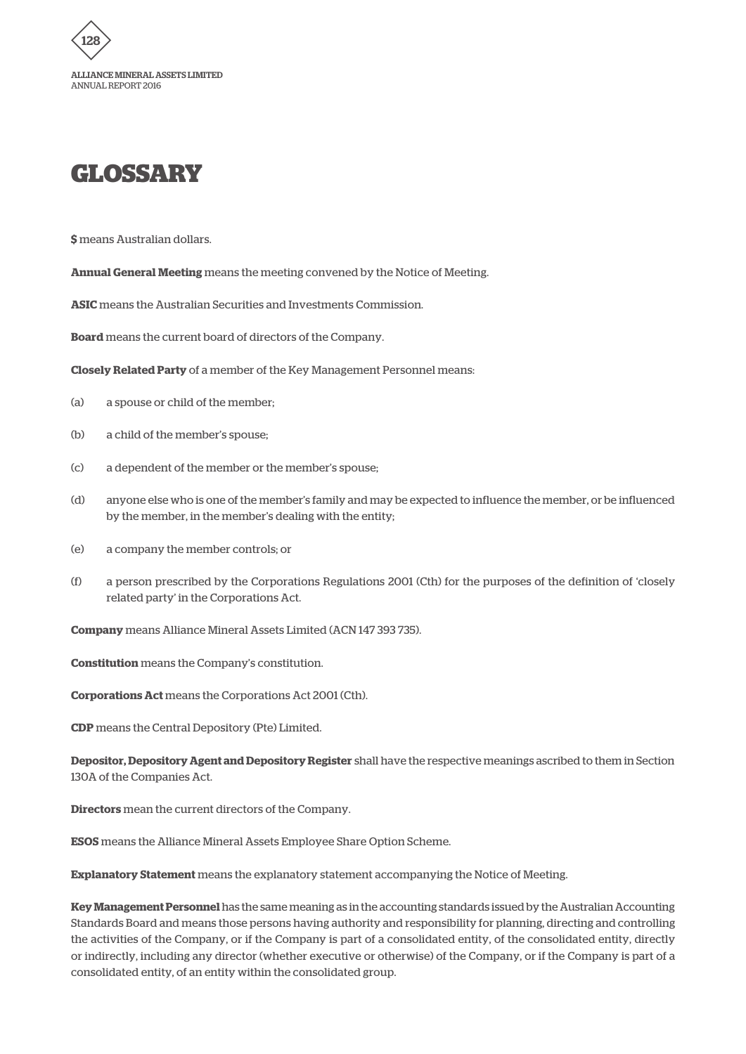

# **GLOSSARY**

**\$** means Australian dollars.

**Annual General Meeting** means the meeting convened by the Notice of Meeting.

**ASIC** means the Australian Securities and Investments Commission.

**Board** means the current board of directors of the Company.

**Closely Related Party** of a member of the Key Management Personnel means:

- (a) a spouse or child of the member;
- (b) a child of the member's spouse;
- (c) a dependent of the member or the member's spouse;
- (d) anyone else who is one of the member's family and may be expected to influence the member, or be influenced by the member, in the member's dealing with the entity;
- (e) a company the member controls; or
- (f) a person prescribed by the Corporations Regulations 2001 (Cth) for the purposes of the definition of 'closely related party' in the Corporations Act.

**Company** means Alliance Mineral Assets Limited (ACN 147 393 735).

**Constitution** means the Company's constitution.

**Corporations Act** means the Corporations Act 2001 (Cth).

**CDP** means the Central Depository (Pte) Limited.

**Depositor, Depository Agent and Depository Register** shall have the respective meanings ascribed to them in Section 130A of the Companies Act.

**Directors** mean the current directors of the Company.

**ESOS** means the Alliance Mineral Assets Employee Share Option Scheme.

**Explanatory Statement** means the explanatory statement accompanying the Notice of Meeting.

**Key Management Personnel** has the same meaning as in the accounting standards issued by the Australian Accounting Standards Board and means those persons having authority and responsibility for planning, directing and controlling the activities of the Company, or if the Company is part of a consolidated entity, of the consolidated entity, directly or indirectly, including any director (whether executive or otherwise) of the Company, or if the Company is part of a consolidated entity, of an entity within the consolidated group.